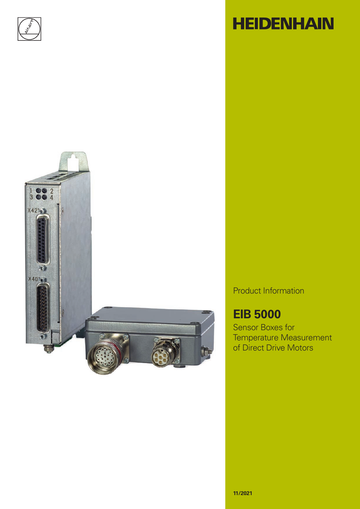



# **HEIDENHAIN**

Product Information

### **EIB 5000**

Sensor Boxes for Temperature Measurement of Direct Drive Motors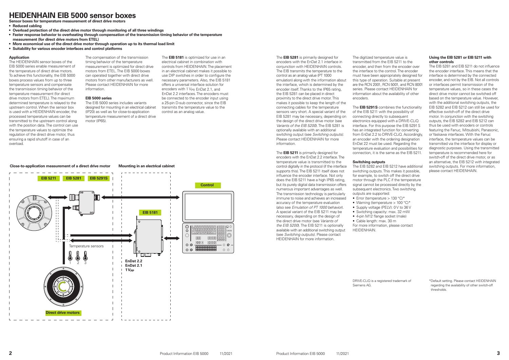#### **Application**

The HEIDENHAIN sensor boxes of the EIB 5000 series enable measurement of the temperature of direct drive motors. To achieve this functionality, the EIB 5000 boxes process values from up to three temperature sensors and compensate the transmission timing behavior of the temperature measurement (for direct drive motors from ETEL). The maximum determined temperature is relayed to the upstream control. When the sensor box is used with a HFIDENHAIN encoder, the processed temperature values can be transmitted to the upstream control along with the position data. The control can use the temperature values to optimize the regulation of the direct drive motor, thus ensuring a rapid shutoff in case of an overload.

The compensation of the transmission timing behavior of the temperature measurement is optimized for direct drive motors from ETEL. The EIB 5000 boxes can operated together with direct drive motors from other manufacturers as well. Please contact HEIDENHAIN for more information.

#### **EIB 5000 series**

The EIB 5000 series includes variants designed for mounting in an electrical cabinet (IP20) as well as for close-to-application temperature measurement of a direct drive motor (IP65).



The **EIB 5181** is optimized for use in an electrical cabinet in combination with controls from HEIDENHAIN. The placement in an electrical cabinet makes it possible to use DIP switches in order to configure the necessary parameters. Also, the EIB 5181 offers a universal interface solution for encoders with 1  $V_{\text{PR}}$  EnDat 2.1, and EnDat 2.2 interfaces. The encoders must be connected to the encoder input using a 25-pin D-sub connector, since the EIB transmits the temperature value to the control as an analog value.

### **HEIDENHAIN EIB 5000 sensor boxes**

**Sensor boxes for temperature measurement of direct drive motors**

- **• Reduced cabling**
- **• Overload protection of the direct drive motor through monitoring of all three windings**
- **• Faster response behavior to overheating through compensation of the transmission timing behavior of the temperature measurement (for direct drive motors from ETEL)**
- **• More economical use of the direct drive motor through operation up to its thermal load limit**
- **• Suitability for various encoder interfaces and control platforms**

The digitized temperature value is transmitted from the EIB 5211 to the encoder, and then from the encoder over the interface to the control. The encoder must have been appropriately designed for this type of operation. Suitable at present are the RCN 2001, RCN 5001, and RCN 8001 series. Please contact HEIDENHAIN for information about the availability of other encoders.

#### **Close-to-application measurement of a direct drive motor Mounting in an electrical cabinet**

The EIB 5282 and EIB 5212 have additional switching outputs. This makes it possible, for example, to switch off the direct drive motor through the PLC if the temperature signal cannot be processed directly by the subsequent electronics. Two switching outputs are supported: • Error (temperature > 130 °C)\*

The **EIB 5281** is primarily designed for encoders with the EnDat 2.1 interface in conjunction with HEIDENHAIN controls. The EIB transmits the temperature to the control as an analog value (PT 1000 emulation) along with the information about the interface, which is determined by the encoder itself. Thanks to the IP65 rating, the EIB 5281 can be placed in direct proximity to the direct drive motor. This makes it possible to keep the length of the connecting cables for the temperature sensors very short. A special variant of the EIB 5281 may be necessary, depending on the design of the direct drive motor (see *Variants of the EIB 5200*). The EIB 5281 is optionally available with an additional switching output (see *Switching outputs).* Please contact HEIDENHAIN for more information.

The **EIB 5211** is primarily designed for encoders with the EnDat 2.2 interface. The temperature value is transmitted to the control digitally in the protocol (if the interface supports this). The EIB 5211 itself does not influence the encoder interface. Not only does the EIB 5211 have a high IP65 rating, but its purely digital data transmission offers numerous important advantages as well. The transmission technology is particularly immune to noise and achieves an increased accuracy of the temperature evaluation (also see *Emulation of PT 1000 behavior*). A special variant of the EIB 5211 may be necessary, depending on the design of the direct drive motor (see *Variants of the EIB 5200*). The EIB 5211 is optionally available with an additional switching output (see *Switching outputs).* Please contact HEIDENHAIN for more information.

The **EIB 5291S** combines the functionality of the EIB 5211 with the possibility of connecting directly to subsequent electronics equipped with a DRIVE-CLiQ interface. For this purpose the EIB 5291S has an integrated function for converting from EnDat 2.2 to DRIVE-CLiQ. Accordingly, an encoder with the ordering designation EnDat 22 must be used. Regarding the temperature evaluation and possibilities for connection, it is the same as the EIB 5211.

#### **Switching outputs**

- 
- Supply voltage (PELV): 0 V to 36 V
- Switching capacity: max. 32 mW

• Warning (temperature > 100 °C)\* For more information, please contact

• 4-pin M12 flange socket (male) • Cable length: max. 30 m

HEIDENHAIN.

#### **Using the EIB 5281 or EIB 5211 with other controls**

The EIB 5281 and EIB 5211 do not influence the encoder interface. This means that the interface is determined by the connected encoder, and not by the EIB. Not all controls or interfaces permit transmission of the temperature values, so in these cases the direct drive motor cannot be switched off based on the temperature value. However, with the additional switching outputs, the EIB 5282 and EIB 5212 can still be used for effective switch-off of the direct drive motor. In conjunction with the switching outputs, the EIB 5282 and EIB 5212 can thus be used with encoders or controls featuring the Fanuc, Mitsubishi, Panasonic, or Yaskawa interfaces. With the Fanuc interface, the temperature values can be transmitted via the interface for display or diagnostic purposes. Using the transmitted temperature is recommended here for switch-off of the direct drive motor, or as an alternative, the EIB 5212 with integrated switching outputs. For more information, please contact HEIDENHAIN.

\*Default setting. Please contact HEIDENHAIN regarding the availability of other switch-off thresholds.

DRIVE-CLiQ is a registered trademark of

Siemens AG.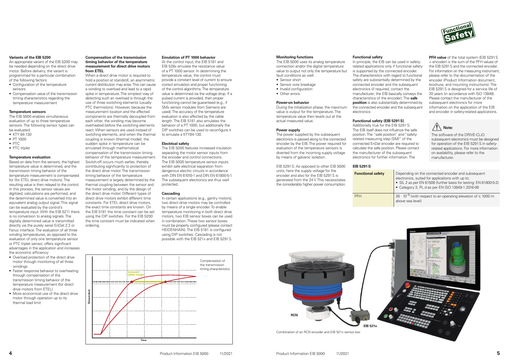#### **Variants of the EIB 5200**

An appropriate variant of the EIB 5200 may be needed depending on the direct drive motor. Before delivery, the variant is programmed for a particular combination of the following factors:

- Configuration of the temperature sensors
- Compensation value of the transmission timing characteristics regarding the temperature measurement

#### **Temperature sensors**

The EIB 5000 enables simultaneous evaluation of up to three temperature sensors. The following sensor types can be evaluated:

- KTY 84-130
- PT 1000
- PTC
- PTC triplet

#### **Temperature evaluation**

Based on data from the sensors, the highest temperature value is determined, and the transmission timing behavior of the temperature measurement is compensated for (for ETEL direct drive motors). The resulting value is then relayed to the control. In this process, the sensor values are digitized, calculations are performed, and the determined value is converted into an equivalent analog output signal. This signal can be evaluated by the control's temperature input. With the EIB 5211 there is no conversion to analog signals. The digitally determined value is transmitted directly via the purely serial EnDat 2.2 or Fanuc interface. The evaluation of all three winding temperatures, as opposed to the evaluation of only one temperature sensor or PTC triplet sensor, offers significant advantages in the application and increases the economic efficiency:

- Overload protection of the direct drive motor through monitoring of all three windings
- Faster response behavior to overheating through compensation of the transmission timing behavior of the temperature measurement (for direct drive motors from ETEL)
- More economical use of the direct drive motor through operation up to its thermal load limit

#### **Compensation of the transmission timing behavior of the temperature measurement for direct drive motors from ETEL**

When a direct drive motor is required to hold a position at standstill, an asymmetric current distribution may arise. This can cause a winding to overload and lead to a rapid spike in temperature. The simplest way of detecting such an overload is through the use of three switching elements (usually PTC thermistors). However, because the measurement location and the affected components are thermally decoupled from each other, the winding may become overheated before the switching elements react. When sensors are used instead of switching elements, and when the thermal coupling is known (thermal model), the sudden spike in temperature can be emulated through mathematical compensation of the transmission timing behavior of the temperature measurement. Switch-off occurs much earlier, thereby contributing significantly to protection of the direct drive motor. The transmission timing behavior of the temperature measurement is largely determined by the thermal coupling between the sensor and the motor winding, and by the design of the direct drive motor. Different types of direct drive motors exhibit different time constants. For ETEL direct drive motors, the exact time constants are known. On the EIB 5181 the time constant can be set using the DIP switches. For the EIB 5200 the time constant must be indicated when ordering.

The power supplied by the subsequent electronics is passed along to the connected encoder by the EIB. The power required for evaluation of the temperature sensors is diverted from the incoming supply voltage by means of galvanic isolation.

In principle, the EIB can be used in safetyrelated applications only if functional safety is supported by the connected encoder. The characteristics with regard to functional safety are substantially determined by the connected encoder and the subsequent electronics (if required, contact the manufacturer; the EIB basically conveys the characteristics of the encoder). The **safe position** is also substantially determined by the connected encoder and the subsequent

#### **Emulation of PT 1000 behavior**

**PFH value** of the total system (EIB 5291S) + encoder) is the sum of the PFH values of the EIB 5291S and the connected encoder. For information on the measuring instrument, please refer to the documentation of the encoder (Product Information document, brochure, and mounting instructions). The EIB 5291S is designed for a service life of 20 years (in accordance with ISO 13849). Please contact the manufacturer of the subsequent electronics for more information on the application of the EIB and encoder in safety-related applications.

**Functional safety** Depending on the connected encoder and subsequent electronics, suited for applications with up to: • SIL 2 as per EN 61508 (further basis for testing: EN 61800-5-2) • Category 3, PL d as per EN ISO 13849-1:2016-06

At the control input, the EIB 5181 and EIB 528x emulate the resistance value of a PT 1000 sensor. In determining the temperature value, the control must provide a constant level of current to ensure correct emulation and proper functioning of the control algorithms. The temperature value is determined via the voltage drop. If a pulsed current is provided, then proper functioning cannot be guaranteed (e.g., if SMx sensor modules from Siemens are used). The accuracy of the temperature evaluation is also affected by the cable length. The EIB 5181 also emulates the behavior of a PT 1000, but additionally the DIP switches can be used to reconfigure it to emulate a KTY84-130.

> **PFH 26 · 10<sup>-9</sup>** (with respect to an operating elevation of  $\leq$  1000 m above sea level)





#### **Electrical safety**

The EIB 5000 features increased insulation separating the motor sensor inputs from the encoder and control connections. The EIB 5000 temperature sensor inputs exhibit safe electrical separation from dangerous electric circuits in accordance with DIN EN 61010-1 and DIN EN 61800-5-1. The subsequent electronics are thus well protected.

#### **Cascading**

In certain applications (e.g., gantry motors), two direct drive motors may be controlled by means of a single encoder. To enable temperature monitoring in both direct drive motors, two EIB sensor boxes can be used in combination. These two sensor boxes must be properly configured (please contact HEIDENHAIN). The EIB 5181 is configured using DIP switches. Cascading is not possible with the EIB 521x and EIB 5291S.



The EIB 5000 uses its analog temperature connection and/or the digital temperature value to output not only the temperature but fault conditions as well:

- Sensor short
- Sensor wire breakage
- Invalid configuration
- Other errors

#### **Power-on behavior**

During the initialization phase, the maximum value is output for the temperature. The temperature value then levels out at the actual measured value.

#### **Power supply**

EIB 5291S: As opposed to other EIB 5000 units, here the supply voltage for the encoder and also for the EIB 5291S is generated from the 24 V. This necessitates the considerably higher power consumption.

**Functional safety**

electronics.

#### **Functional safety (EIB 5291S)**

Additionally true for the EIB 5291S: The EIB itself does not influence the safe position. The "safe position" and "safetyrelated measuring step (SM)" of the connected EnDat encoder are required to calculate the safe position. Please contact the manufacturer of the subsequent electronics for further information. The

**EIB 5291S**





The software of the DRIVE-CLiQ subsequent electronics must be designed for operation of the EIB 5291S in safetyrelated applications. For more information on availability, please refer to the manufacturer.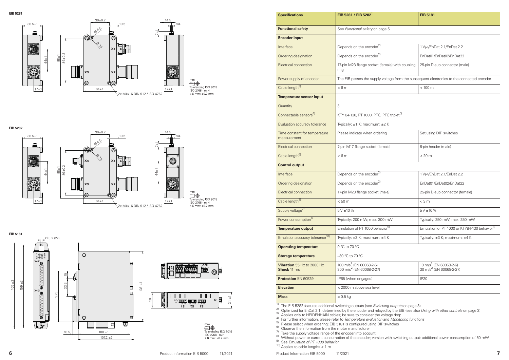





31 ±1

 $\circledcirc$ 

 $\circ \mathsf{E}$ 

......<br>Tolerancing ISO 8015<br>ISO 2768 - m H  $\leq 6$  mm:  $\pm 0.2$  mm

 $mm$ 

| <b>EIB 5181</b> |
|-----------------|
|                 |

| <b>Specifications</b>                            | EIB 5281 / EIB 5282 <sup>1)</sup>                                                          | <b>EIB 5181</b>                                                           |  |
|--------------------------------------------------|--------------------------------------------------------------------------------------------|---------------------------------------------------------------------------|--|
| <b>Functional safety</b>                         | See Functional safety on page 5                                                            |                                                                           |  |
| <b>Encoder input</b>                             |                                                                                            |                                                                           |  |
| Interface                                        | Depends on the encoder <sup>2)</sup>                                                       | 1 Vpp/EnDat 2.1/EnDat 2.2                                                 |  |
| Ordering designation                             | Depends on the encoder <sup>2)</sup>                                                       | EnDat01/EnDat02/EnDat22                                                   |  |
| Electrical connection                            | 17-pin M23 flange socket (female) with coupling<br>ring                                    | 25-pin D-sub connector (male).                                            |  |
| Power supply of encoder                          | The EIB passes the supply voltage from the subsequent electronics to the connected encoder |                                                                           |  |
| Cable length <sup>3)</sup>                       | < 6m                                                                                       | $< 100 \text{ m}$                                                         |  |
| <b>Temperature sensor input</b>                  |                                                                                            |                                                                           |  |
| Quantity                                         | 3                                                                                          |                                                                           |  |
| Connectable sensors <sup>4)</sup>                | KTY 84-130, PT 1000, PTC, PTC triplet <sup>5)</sup>                                        |                                                                           |  |
| Evaluation accuracy tolerance                    | Typically: ±1 K; maximum: ±2 K                                                             |                                                                           |  |
| Time constant for temperature<br>measurement     | Please indicate when ordering                                                              | Set using DIP switches                                                    |  |
| <b>Electrical connection</b>                     | 7-pin M17 flange socket (female)                                                           | 6-pin header (male)                                                       |  |
| Cable length <sup>6)</sup>                       | < 6m                                                                                       | < 20 m                                                                    |  |
| <b>Control output</b>                            |                                                                                            |                                                                           |  |
| Interface                                        | Depends on the encoder <sup>2)</sup>                                                       | 1 V <sub>PP</sub> /EnDat 2.1/EnDat 2.2                                    |  |
| Ordering designation                             | Depends on the encoder <sup>2)</sup>                                                       | EnDat01/EnDat02/EnDat22                                                   |  |
| <b>Electrical connection</b>                     | 17-pin M23 flange socket (male)                                                            | 25-pin D-sub connector (female)                                           |  |
| Cable length <sup>3)</sup>                       | < 50 m                                                                                     | $<$ 3 m                                                                   |  |
| Supply voltage <sup>7)</sup>                     | $5V \pm 10 \%$                                                                             | $5V \pm 10 \%$                                                            |  |
| Power consumption <sup>8)</sup>                  | Typically: 200 mW; max. 300 mW                                                             | Typically: 250 mW; max. 350 mW                                            |  |
| <b>Temperature output</b>                        | Emulation of PT 1000 behavior <sup>9)</sup>                                                | Emulation of PT 1000 or KTY84-130 behavior <sup>6)</sup>                  |  |
| Emulation accuracy tolerance <sup>10)</sup>      | Typically: ±3 K; maximum: ±4 K                                                             | Typically: ±3 K; maximum: ±4 K                                            |  |
| <b>Operating temperature</b>                     | 0 °C to 70 °C                                                                              |                                                                           |  |
| <b>Storage temperature</b>                       | -30 °C to 70 °C                                                                            |                                                                           |  |
| Vibration 55 Hz to 2000 Hz<br><b>Shock 11 ms</b> | 100 m/s <sup>2</sup> (EN 60068-2-6)<br>300 m/s <sup>2</sup> (EN 60068-2-27)                | 10 m/s <sup>2</sup> (EN 60068-2-6)<br>30 m/s <sup>2</sup> (EN 60068-2-27) |  |
| <b>Protection EN 60529</b>                       | IP65 (when engaged)                                                                        | <b>IP20</b>                                                               |  |
| <b>Elevation</b>                                 | < 2000 m above sea level                                                                   |                                                                           |  |
| <b>Mass</b>                                      | $\approx 0.5$ kg                                                                           |                                                                           |  |

<sup>1)</sup> The EIB 5282 features additional switching outputs (see *Switching outputs* on page 3)<br>2) Optimized for EnDat 2.1, determined by the encoder and relayed by the EIB (see also *Using with other controls* on page 3) <sup>3)</sup> Applies only to HEIDENHAIN cables; be sure to consider the voltage drop<br><sup>4)</sup> For further information, please refer to *Temperature evaluation* and *Monitoring functions*<br><sup>5</sup>) Please select when ordering; EIB 5181 is

 $\frac{6}{5}$  Observe the information from the motor manufacturer

The supply voltage range of the encoder into account<br>
8) Take the supply voltage range of the encoder into account<br>
8) Without power or current consumption of the encoder; version with switching output: additional power co

9) See *Emulation of PT 1000 behavior*

10) Applies to cable lengths < 1 m



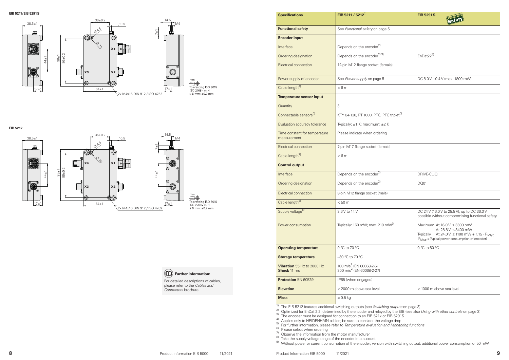



|                          | $En$ Dat $22^{3}$                                                                                                                                          |
|--------------------------|------------------------------------------------------------------------------------------------------------------------------------------------------------|
| male)                    |                                                                                                                                                            |
|                          |                                                                                                                                                            |
|                          | DC 8.0 V ± 0.4 V (max. 1800 mW)                                                                                                                            |
|                          |                                                                                                                                                            |
|                          |                                                                                                                                                            |
|                          |                                                                                                                                                            |
| TC triplet <sup>6)</sup> |                                                                                                                                                            |
| 2K                       |                                                                                                                                                            |
| ıg                       |                                                                                                                                                            |
|                          |                                                                                                                                                            |
| ale)                     |                                                                                                                                                            |
|                          |                                                                                                                                                            |
|                          |                                                                                                                                                            |
|                          | DRIVE-CLIQ                                                                                                                                                 |
|                          | <b>DQ01</b>                                                                                                                                                |
| $\mathsf{e}$             |                                                                                                                                                            |
|                          |                                                                                                                                                            |
|                          | DC 24 V (16.0 V to 28.8 V); up to DC 36.0 V<br>possible without compromising functional safety                                                             |
| $m\sqrt{v^{9}}$          | Maximum At 16.0 V: ≤ 3300 mW                                                                                                                               |
|                          | At 28.8 V: ≤ 3400 mW<br>Typically At 24.0 V: $\leq$ 1100 mW + 1.15 $\cdot$ P <sub>Mtyp</sub><br>(P <sub>Mtyp</sub> = Typical power consumption of encoder) |
|                          | 0 °C to 60 °C                                                                                                                                              |
|                          |                                                                                                                                                            |

| < 1000 m above sea level |  |
|--------------------------|--|

| <b>Functional safety</b>                         | See Functional safety on page 5                                             |                                                                                                                                                                           |  |
|--------------------------------------------------|-----------------------------------------------------------------------------|---------------------------------------------------------------------------------------------------------------------------------------------------------------------------|--|
| <b>Encoder input</b>                             |                                                                             |                                                                                                                                                                           |  |
| Interface                                        | Depends on the encoder <sup>2)</sup>                                        |                                                                                                                                                                           |  |
| Ordering designation                             | Depends on the encoder <sup>2) 3)</sup>                                     | EnDat22 <sup>3)</sup>                                                                                                                                                     |  |
| <b>Electrical connection</b>                     | 12-pin M12 flange socket (female)                                           |                                                                                                                                                                           |  |
| Power supply of encoder                          | See Power supply on page 5                                                  | DC 8.0 V ±0.4 V (max. 1800 mW)                                                                                                                                            |  |
| Cable length <sup>4)</sup>                       | < 6m                                                                        |                                                                                                                                                                           |  |
| <b>Temperature sensor input</b>                  |                                                                             |                                                                                                                                                                           |  |
| Quantity                                         | 3                                                                           |                                                                                                                                                                           |  |
| Connectable sensors <sup>5)</sup>                | KTY 84-130, PT 1000, PTC, PTC triplet <sup>6)</sup>                         |                                                                                                                                                                           |  |
| Evaluation accuracy tolerance                    | Typically: ±1 K; maximum: ±2 K                                              |                                                                                                                                                                           |  |
| Time constant for temperature<br>measurement     | Please indicate when ordering                                               |                                                                                                                                                                           |  |
| <b>Electrical connection</b>                     | 7-pin M17 flange socket (female)                                            |                                                                                                                                                                           |  |
| Cable length <sup>7)</sup>                       | < 6m                                                                        |                                                                                                                                                                           |  |
| <b>Control output</b>                            |                                                                             |                                                                                                                                                                           |  |
| Interface                                        | Depends on the encoder <sup>2)</sup>                                        | DRIVE-CLIQ                                                                                                                                                                |  |
| Ordering designation                             | Depends on the encoder <sup>2)</sup>                                        | <b>DQ01</b>                                                                                                                                                               |  |
| Electrical connection                            | 8-pin M12 flange socket (male)                                              |                                                                                                                                                                           |  |
| Cable length <sup>4)</sup>                       | < 50 m                                                                      |                                                                                                                                                                           |  |
| Supply voltage <sup>8)</sup>                     | 3.6 V to 14 V                                                               | DC 24 V (16.0 V to 28.8 V); up to DC 36.0 V<br>possible without compromising functional s                                                                                 |  |
| Power consumption                                | Typically: 160 mW; max. 210 mW <sup>9)</sup>                                | Maximum At 16.0 V: ≤ 3300 mW<br>At 28.8 V: ≤ 3400 mW<br>At 24.0 V: ≤ 1100 mW + 1.15 · P<br><b>Typically</b><br>(P <sub>Mtvp</sub> = Typical power consumption of encoder) |  |
| <b>Operating temperature</b>                     | 0 °C to 70 °C                                                               | 0 °C to 60 °C                                                                                                                                                             |  |
| <b>Storage temperature</b>                       | -30 °C to 70 °C                                                             |                                                                                                                                                                           |  |
| Vibration 55 Hz to 2000 Hz<br><b>Shock 11 ms</b> | 100 m/s <sup>2</sup> (EN 60068-2-6)<br>300 m/s <sup>2</sup> (EN 60068-2-27) |                                                                                                                                                                           |  |
| <b>Protection EN 60529</b>                       | IP65 (when engaged)                                                         |                                                                                                                                                                           |  |
| <b>Elevation</b>                                 | < 2000 m above sea level                                                    | < 1000 m above sea level                                                                                                                                                  |  |
| <b>Mass</b>                                      | $\approx 0.5$ kg                                                            |                                                                                                                                                                           |  |
|                                                  |                                                                             |                                                                                                                                                                           |  |

**Specifications EIB 5211 / 5212<sup>1)</sup>** 

<sup>1)</sup> The EIB 5212 features additional switching outputs (see *Switching outputs* on page 3)<br><sup>2)</sup> Optimized for EnDat 2.2, determined by the encoder and relayed by the EIB (see also *Using with other controls* on page 3)  $3)$  The encoder must be designed for connection to an EIB 521x or EIB 5291S <sup>4)</sup> Applies only to HEIDENHAIN cables; be sure to consider the voltage drop<br><sup>5)</sup> For further information, please refer to *Temperature evaluation and Monitoring functions*<br><sup>6)</sup> Please select when ordering<br><sup>7</sup>. Observe th

#### **EIB 5211/EIB 5291S**

#### **EIB 5212**

 **Further information:** For detailed descriptions of cables, please refer to the *Cables and Connectors* brochure.

| <b>EIB 5291 S</b> |  |
|-------------------|--|
|                   |  |